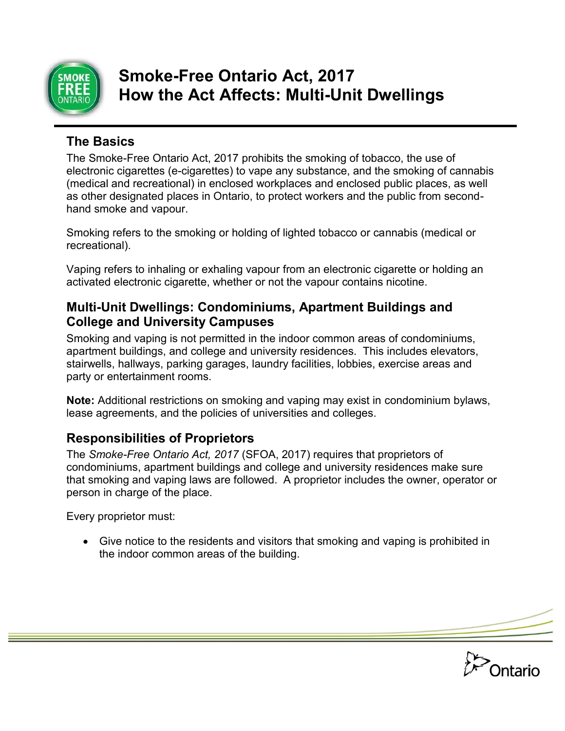

# **Smoke-Free Ontario Act, 2017 How the Act Affects: Multi-Unit Dwellings**

### **The Basics**

The Smoke-Free Ontario Act, 2017 prohibits the smoking of tobacco, the use of electronic cigarettes (e-cigarettes) to vape any substance, and the smoking of cannabis (medical and recreational) in enclosed workplaces and enclosed public places, as well as other designated places in Ontario, to protect workers and the public from secondhand smoke and vapour.

Smoking refers to the smoking or holding of lighted tobacco or cannabis (medical or recreational).

Vaping refers to inhaling or exhaling vapour from an electronic cigarette or holding an activated electronic cigarette, whether or not the vapour contains nicotine.

#### **Multi-Unit Dwellings: Condominiums, Apartment Buildings and College and University Campuses**

Smoking and vaping is not permitted in the indoor common areas of condominiums, apartment buildings, and college and university residences. This includes elevators, stairwells, hallways, parking garages, laundry facilities, lobbies, exercise areas and party or entertainment rooms.

**Note:** Additional restrictions on smoking and vaping may exist in condominium bylaws, lease agreements, and the policies of universities and colleges.

## **Responsibilities of Proprietors**

The *Smoke-Free Ontario Act, 2017* (SFOA, 2017) requires that proprietors of condominiums, apartment buildings and college and university residences make sure that smoking and vaping laws are followed. A proprietor includes the owner, operator or person in charge of the place.

Every proprietor must:

 Give notice to the residents and visitors that smoking and vaping is prohibited in the indoor common areas of the building.

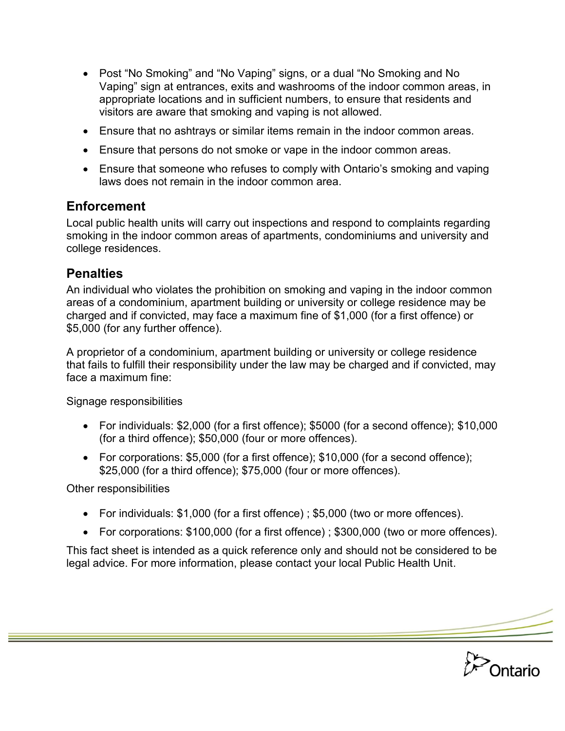- Post "No Smoking" and "No Vaping" signs, or a dual "No Smoking and No Vaping" sign at entrances, exits and washrooms of the indoor common areas, in appropriate locations and in sufficient numbers, to ensure that residents and visitors are aware that smoking and vaping is not allowed.
- Ensure that no ashtrays or similar items remain in the indoor common areas.
- Ensure that persons do not smoke or vape in the indoor common areas.
- Ensure that someone who refuses to comply with Ontario's smoking and vaping laws does not remain in the indoor common area.

### **Enforcement**

Local public health units will carry out inspections and respond to complaints regarding smoking in the indoor common areas of apartments, condominiums and university and college residences.

### **Penalties**

An individual who violates the prohibition on smoking and vaping in the indoor common areas of a condominium, apartment building or university or college residence may be charged and if convicted, may face a maximum fine of \$1,000 (for a first offence) or \$5,000 (for any further offence).

A proprietor of a condominium, apartment building or university or college residence that fails to fulfill their responsibility under the law may be charged and if convicted, may face a maximum fine:

Signage responsibilities

- For individuals: \$2,000 (for a first offence); \$5000 (for a second offence); \$10,000 (for a third offence); \$50,000 (four or more offences).
- For corporations: \$5,000 (for a first offence); \$10,000 (for a second offence); \$25,000 (for a third offence); \$75,000 (four or more offences).

Other responsibilities

- For individuals: \$1,000 (for a first offence) ; \$5,000 (two or more offences).
- For corporations: \$100,000 (for a first offence) ; \$300,000 (two or more offences).

**Ontario** 

This fact sheet is intended as a quick reference only and should not be considered to be legal advice. For more information, please contact your local Public Health Unit.